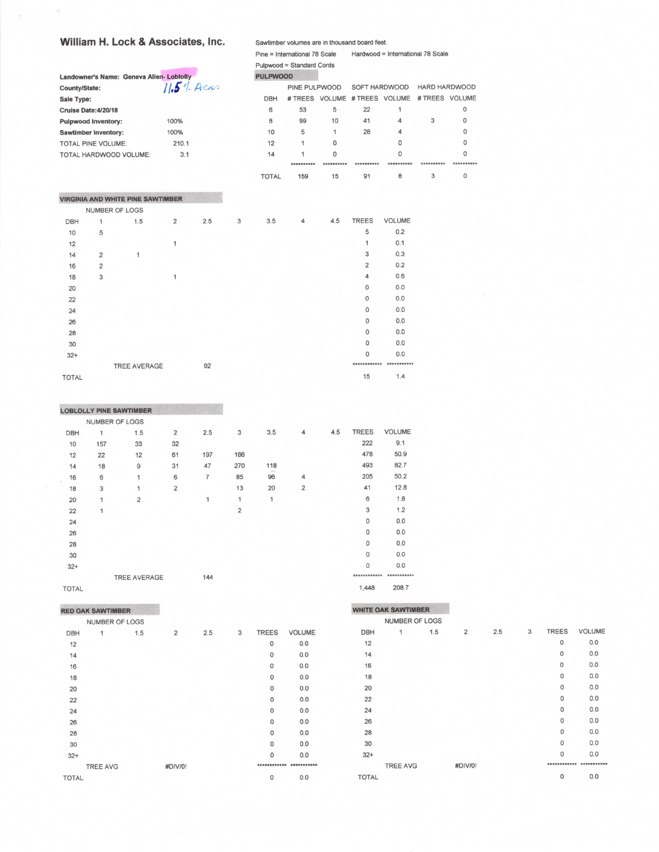## William H. Lock & Associates, Inc.

|                             |                | Landowner's Name: Geneva Allen-Loblolly  |                         |     |   | <b>PULPWOOD</b> |                |            |                               |               |                      |          |
|-----------------------------|----------------|------------------------------------------|-------------------------|-----|---|-----------------|----------------|------------|-------------------------------|---------------|----------------------|----------|
| County/State:               |                |                                          | $11.54$ Acros           |     |   |                 | PINE PULPWOOD  |            | SOFT HARDWOOD                 |               | <b>HARD HARDWOOD</b> |          |
| Sale Type:                  |                |                                          |                         |     |   | <b>DBH</b>      |                |            | # TREES VOLUME # TREES VOLUME |               | # TREES VOLUME       |          |
| Cruise Date: 4/20/18        |                |                                          |                         |     |   | 6               | 53             | 5          | 22                            | 1             |                      | 0        |
| <b>Pulpwood Inventory:</b>  |                |                                          | 100%                    |     |   | 8               | 99             | 10         | 41                            | 4             | 3                    | 0        |
| <b>Sawtimber Inventory:</b> |                |                                          | 100%                    |     |   | 10              | 5              | 1          | 28                            | 4             |                      | $\Omega$ |
| TOTAL PINE VOLUME:          |                |                                          | 210.1                   |     |   | 12              | 1              | 0          |                               | $\Omega$      |                      | 0        |
|                             |                | TOTAL HARDWOOD VOLUME:                   | 3.1                     |     |   | 14              | 1              | 0          |                               | 0             |                      | 0        |
|                             |                |                                          |                         |     |   |                 | **********     | ********** | **********                    |               |                      |          |
|                             |                |                                          |                         |     |   | <b>TOTAL</b>    | 159            | 15         | 91                            | 8             | 3                    | 0        |
|                             |                | <b>VIRGINIA AND WHITE PINE SAWTIMBER</b> |                         |     |   |                 |                |            |                               |               |                      |          |
|                             |                | NUMBER OF LOGS                           |                         |     |   |                 |                |            |                               |               |                      |          |
| <b>DBH</b>                  | 1              | 1.5                                      | $\overline{\mathbf{c}}$ | 2.5 | 3 | 3.5             | $\overline{4}$ | 4.5        | <b>TREES</b>                  | <b>VOLUME</b> |                      |          |
| 10                          | 5              |                                          |                         |     |   |                 |                |            | 5                             | 0.2           |                      |          |
| 12                          |                |                                          | 1                       |     |   |                 |                |            | 1                             | 0.1           |                      |          |
| 14                          | 2              | 1                                        |                         |     |   |                 |                |            | 3                             | 0.3           |                      |          |
| 16                          | $\overline{2}$ |                                          |                         |     |   |                 |                |            | 2                             | 0.2           |                      |          |
| 18                          | 3              |                                          | 1                       |     |   |                 |                |            | 4                             | 0.6           |                      |          |
| 20                          |                |                                          |                         |     |   |                 |                |            | 0                             | 0.0           |                      |          |
| 22                          |                |                                          |                         |     |   |                 |                |            | $\circ$                       | 0.0           |                      |          |
| 24                          |                |                                          |                         |     |   |                 |                |            | $\mathbf 0$                   | 0.0           |                      |          |
| 26                          |                |                                          |                         |     |   |                 |                |            | $\Omega$                      | 0,0           |                      |          |
| 28                          |                |                                          |                         |     |   |                 |                |            | $\mathbf{0}$                  | 0.0           |                      |          |
| 30                          |                |                                          |                         |     |   |                 |                |            | $\circ$                       | 0.0           |                      |          |
| $32+$                       |                |                                          |                         |     |   |                 |                |            | 0                             | 0.0           |                      |          |
|                             |                | TREE AVERAGE                             |                         | 92  |   |                 |                |            | ************                  | ***********   |                      |          |
| <b>TOTAL</b>                |                |                                          |                         |     |   |                 |                |            | 15                            | 1.4           |                      |          |

Sawtimber volumes are in thousand board feet.

Pulpwood = Standard Cords

Pine = International 78 Scale Hardwood = International 78 Scale

|            |                | <b>LOBLOLLY PINE SAWTIMBER</b> |                         |                |                |     |   |     |              |               |
|------------|----------------|--------------------------------|-------------------------|----------------|----------------|-----|---|-----|--------------|---------------|
|            | NUMBER OF LOGS |                                |                         |                |                |     |   |     |              |               |
| <b>DBH</b> | 1              | 1.5                            | $\overline{\mathbf{c}}$ | 2.5            | 3              | 3.5 | 4 | 4.5 | <b>TREES</b> | <b>VOLUME</b> |
| 10         | 157            | 33                             | 32                      |                |                |     |   |     | 222          | 9.1           |
| 12         | 22             | 12                             | 61                      | 197            | 186            |     |   |     | 478          | 50.9          |
| 14         | 18             | 9                              | 31                      | 47             | 270            | 118 |   |     | 493          | 82.7          |
| 16         | 6              | $\mathbf{1}$                   | 6                       | $\overline{7}$ | 85             | 96  | 4 |     | 205          | 50.2          |
| 18         | 3              | 1                              | $\overline{\mathbf{2}}$ |                | 13             | 20  | 2 |     | 41           | 12.8          |
| 20         | 1              | $\overline{2}$                 |                         | 1              | 1              | 1   |   |     | 6            | 1.8           |
| 22         | 1              |                                |                         |                | $\overline{2}$ |     |   |     | 3            | 1.2           |
| 24         |                |                                |                         |                |                |     |   |     | $\mathbf 0$  | 0.0           |
| 26         |                |                                |                         |                |                |     |   |     | 0            | 0.0           |
| 28         |                |                                |                         |                |                |     |   |     | 0            | 0.0           |
| 30         |                |                                |                         |                |                |     |   |     | 0            | 0.0           |
| $32+$      |                |                                |                         |                |                |     |   |     | $\circ$      | 0.0           |
|            |                | <b>TREE AVERAGE</b>            |                         | 144            |                |     |   |     | ************ | ***********   |

**TOTAL** 

## **RED OAK SAWTIMBER**

|            | NUMBER OF LOGS  |     |                |     |   |                |               |  |
|------------|-----------------|-----|----------------|-----|---|----------------|---------------|--|
| <b>DBH</b> | 1               | 1.5 | $\overline{2}$ | 2.5 | 3 | <b>TREES</b>   | <b>VOLUME</b> |  |
| 12         |                 |     |                |     |   | 0              | 0.0           |  |
| 14         |                 |     |                |     |   | $\mathbf{0}$   | 0.0           |  |
| 16         |                 |     |                |     |   | $\mathbf 0$    | 0.0           |  |
| 18         |                 |     |                |     |   | $\mathbf 0$    | 0.0           |  |
| 20         |                 |     |                |     |   | 0              | 0.0           |  |
| 22         |                 |     |                |     |   | 0              | 0.0           |  |
| 24         |                 |     |                |     |   | $\overline{0}$ | 0.0           |  |
| 26         |                 |     |                |     |   | 0              | 0.0           |  |
| 28         |                 |     |                |     |   | $\circ$        | 0.0           |  |
| 30         |                 |     |                |     |   | 0              | 0.0           |  |
| $32+$      |                 |     |                |     |   | $\Omega$       | 0.0           |  |
|            | <b>TREE AVG</b> |     | #DIV/0!        |     |   | ************   | ***********   |  |
| TOTAL      |                 |     |                |     |   | 0              | 0.0           |  |
|            |                 |     |                |     |   |                |               |  |

## 208.7 1,448

|              | <b>WHITE OAK SAWTIMBER</b> |     |                |     |   |              |               |
|--------------|----------------------------|-----|----------------|-----|---|--------------|---------------|
|              | <b>NUMBER OF LOGS</b>      |     |                |     |   |              |               |
| <b>DBH</b>   | 1                          | 1.5 | $\overline{2}$ | 2.5 | 3 | <b>TREES</b> | <b>VOLUME</b> |
| 12           |                            |     |                |     |   | $\mathbf 0$  | 0.0           |
| 14           |                            |     |                |     |   | 0            | 0.0           |
| 16           |                            |     |                |     |   | $\circ$      | 0.0           |
| 18           |                            |     |                |     |   | $\mathbf 0$  | 0.0           |
| 20           |                            |     |                |     |   | $\Omega$     | 0.0           |
| 22           |                            |     |                |     |   | $\circ$      | 0.0           |
| 24           |                            |     |                |     |   | $\Omega$     | 0.0           |
| 26           |                            |     |                |     |   | $\Omega$     | 0.0           |
| 28           |                            |     |                |     |   | 0            | 0.0           |
| 30           |                            |     |                |     |   | $\Omega$     | 0.0           |
| $32+$        |                            |     |                |     |   | $\Omega$     | 0.0           |
|              | <b>TREE AVG</b>            |     | #DIV/0!        |     |   |              | ***********   |
| <b>TOTAL</b> |                            |     |                |     |   | $\mathbf 0$  | 0.0           |